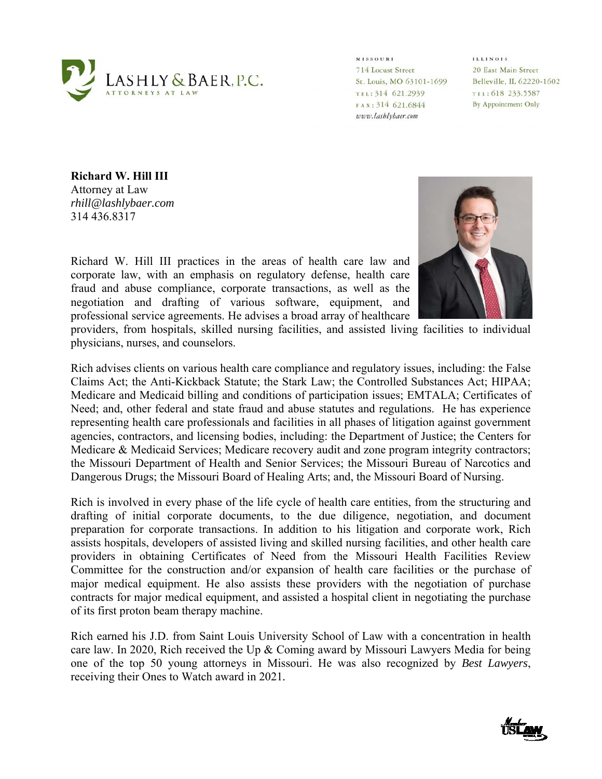

**MISSOURI** 714 Locust Street St. Louis, MO 63101-1699 TEL: 314 621.2939 FAX: 314 621.6844 www.lashlybaer.com

**ILLINOIS** 20 East Main Street Belleville, IL 62220-1602 TEL: 618 233.5587 By Appointment Only

**Richard W. Hill III**  Attorney at Law *rhill@lashlybaer.com*  314 436.8317

Richard W. Hill III practices in the areas of health care law and corporate law, with an emphasis on regulatory defense, health care fraud and abuse compliance, corporate transactions, as well as the negotiation and drafting of various software, equipment, and professional service agreements. He advises a broad array of healthcare



providers, from hospitals, skilled nursing facilities, and assisted living facilities to individual physicians, nurses, and counselors.

Rich advises clients on various health care compliance and regulatory issues, including: the False Claims Act; the Anti-Kickback Statute; the Stark Law; the Controlled Substances Act; HIPAA; Medicare and Medicaid billing and conditions of participation issues; EMTALA; Certificates of Need; and, other federal and state fraud and abuse statutes and regulations. He has experience representing health care professionals and facilities in all phases of litigation against government agencies, contractors, and licensing bodies, including: the Department of Justice; the Centers for Medicare & Medicaid Services; Medicare recovery audit and zone program integrity contractors; the Missouri Department of Health and Senior Services; the Missouri Bureau of Narcotics and Dangerous Drugs; the Missouri Board of Healing Arts; and, the Missouri Board of Nursing.

Rich is involved in every phase of the life cycle of health care entities, from the structuring and drafting of initial corporate documents, to the due diligence, negotiation, and document preparation for corporate transactions. In addition to his litigation and corporate work, Rich assists hospitals, developers of assisted living and skilled nursing facilities, and other health care providers in obtaining Certificates of Need from the Missouri Health Facilities Review Committee for the construction and/or expansion of health care facilities or the purchase of major medical equipment. He also assists these providers with the negotiation of purchase contracts for major medical equipment, and assisted a hospital client in negotiating the purchase of its first proton beam therapy machine.

Rich earned his J.D. from Saint Louis University School of Law with a concentration in health care law. In 2020, Rich received the Up & Coming award by Missouri Lawyers Media for being one of the top 50 young attorneys in Missouri. He was also recognized by *Best Lawyers*, receiving their Ones to Watch award in 2021*.* 

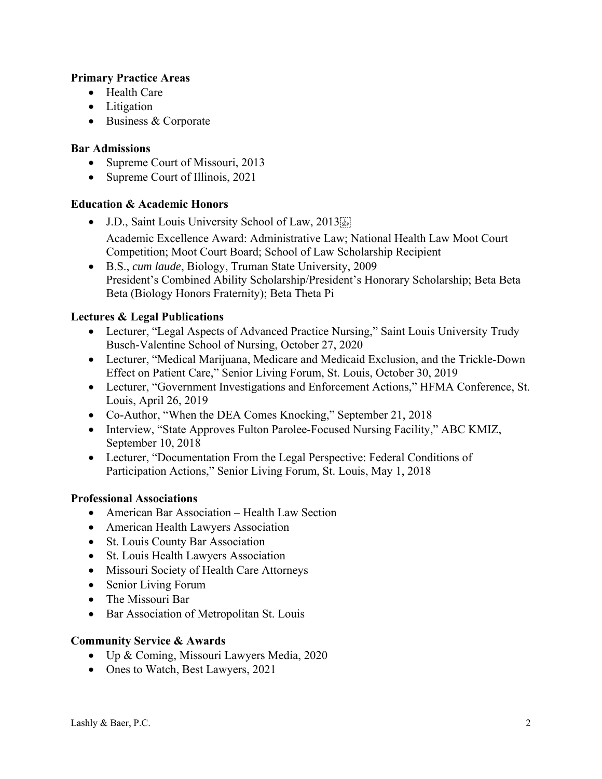## **Primary Practice Areas**

- Health Care
- Litigation
- Business & Corporate

### **Bar Admissions**

- Supreme Court of Missouri, 2013
- Supreme Court of Illinois, 2021

### **Education & Academic Honors**

- J.D., Saint Louis University School of Law, 2013 Academic Excellence Award: Administrative Law; National Health Law Moot Court Competition; Moot Court Board; School of Law Scholarship Recipient
- B.S., *cum laude*, Biology, Truman State University, 2009 President's Combined Ability Scholarship/President's Honorary Scholarship; Beta Beta Beta (Biology Honors Fraternity); Beta Theta Pi

### **Lectures & Legal Publications**

- Lecturer, "Legal Aspects of Advanced Practice Nursing," Saint Louis University Trudy Busch-Valentine School of Nursing, October 27, 2020
- Lecturer, "Medical Marijuana, Medicare and Medicaid Exclusion, and the Trickle-Down Effect on Patient Care," Senior Living Forum, St. Louis, October 30, 2019
- Lecturer, "Government Investigations and Enforcement Actions," HFMA Conference, St. Louis, April 26, 2019
- Co-Author, "When the DEA Comes Knocking," September 21, 2018
- Interview, "State Approves Fulton Parolee-Focused Nursing Facility," ABC KMIZ, September 10, 2018
- Lecturer, "Documentation From the Legal Perspective: Federal Conditions of Participation Actions," Senior Living Forum, St. Louis, May 1, 2018

### **Professional Associations**

- American Bar Association Health Law Section
- American Health Lawyers Association
- St. Louis County Bar Association
- St. Louis Health Lawyers Association
- Missouri Society of Health Care Attorneys
- Senior Living Forum
- The Missouri Bar
- Bar Association of Metropolitan St. Louis

### **Community Service & Awards**

- Up & Coming, Missouri Lawyers Media, 2020
- Ones to Watch, Best Lawyers, 2021